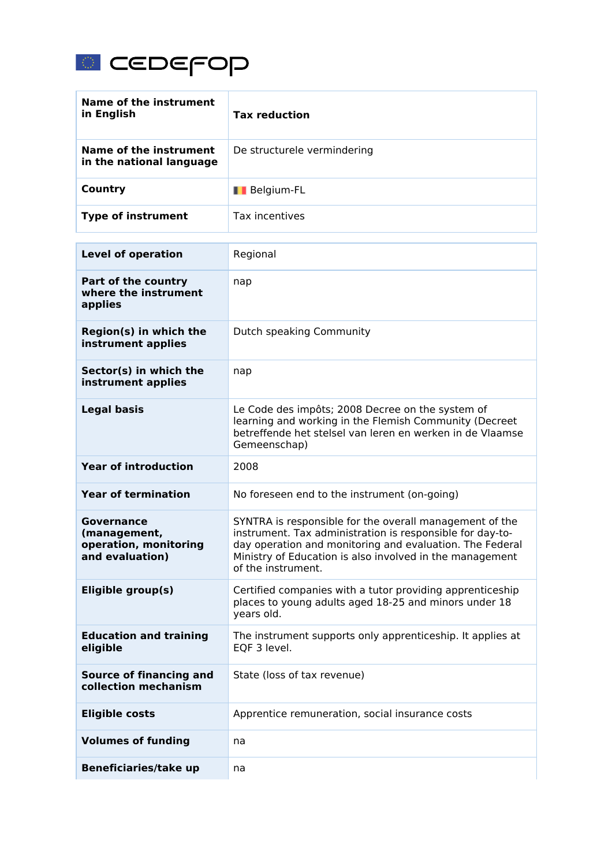

| Name of the instrument<br>in English                                          | <b>Tax reduction</b>                                                                                                                                                                                                                                               |
|-------------------------------------------------------------------------------|--------------------------------------------------------------------------------------------------------------------------------------------------------------------------------------------------------------------------------------------------------------------|
| Name of the instrument<br>in the national language                            | De structurele vermindering                                                                                                                                                                                                                                        |
| <b>Country</b>                                                                | <b>Belgium-FL</b>                                                                                                                                                                                                                                                  |
| <b>Type of instrument</b>                                                     | Tax incentives                                                                                                                                                                                                                                                     |
| <b>Level of operation</b>                                                     | Regional                                                                                                                                                                                                                                                           |
| Part of the country<br>where the instrument<br>applies                        | nap                                                                                                                                                                                                                                                                |
| Region(s) in which the<br>instrument applies                                  | Dutch speaking Community                                                                                                                                                                                                                                           |
| Sector(s) in which the<br>instrument applies                                  | nap                                                                                                                                                                                                                                                                |
| <b>Legal basis</b>                                                            | Le Code des impôts; 2008 Decree on the system of<br>learning and working in the Flemish Community (Decreet<br>betreffende het stelsel van Ieren en werken in de Vlaamse<br>Gemeenschap)                                                                            |
| <b>Year of introduction</b>                                                   | 2008                                                                                                                                                                                                                                                               |
| <b>Year of termination</b>                                                    | No foreseen end to the instrument (on-going)                                                                                                                                                                                                                       |
| <b>Governance</b><br>(management,<br>operation, monitoring<br>and evaluation) | SYNTRA is responsible for the overall management of the<br>instrument. Tax administration is responsible for day-to-<br>day operation and monitoring and evaluation. The Federal<br>Ministry of Education is also involved in the management<br>of the instrument. |
| Eligible group(s)                                                             | Certified companies with a tutor providing apprenticeship<br>places to young adults aged 18-25 and minors under 18<br>years old.                                                                                                                                   |
| <b>Education and training</b><br>eligible                                     | The instrument supports only apprenticeship. It applies at<br>EQF 3 level.                                                                                                                                                                                         |
| <b>Source of financing and</b><br>collection mechanism                        | State (loss of tax revenue)                                                                                                                                                                                                                                        |
| <b>Eligible costs</b>                                                         | Apprentice remuneration, social insurance costs                                                                                                                                                                                                                    |
| <b>Volumes of funding</b>                                                     | na                                                                                                                                                                                                                                                                 |
| <b>Beneficiaries/take up</b>                                                  | na                                                                                                                                                                                                                                                                 |